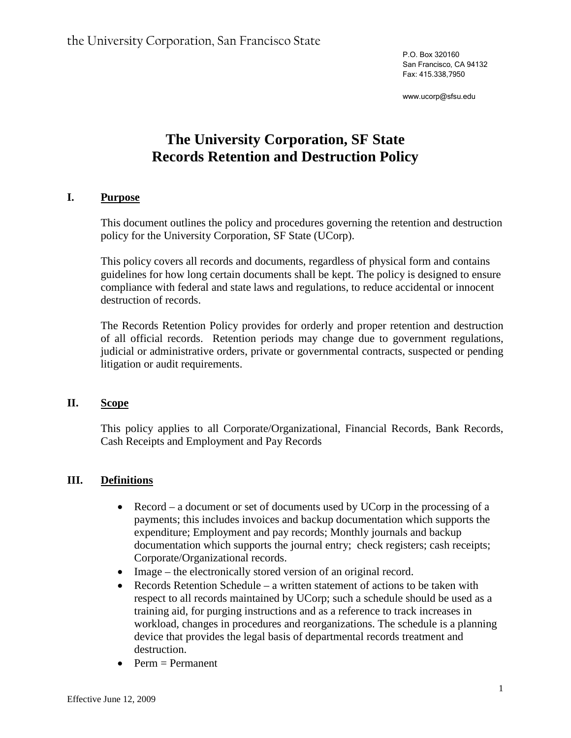P.O. Box 320160 San Francisco, CA 94132 Fax: 415.338,7950

www.ucorp@sfsu.edu

# **The University Corporation, SF State Records Retention and Destruction Policy**

#### **I. Purpose**

This document outlines the policy and procedures governing the retention and destruction policy for the University Corporation, SF State (UCorp).

This policy covers all records and documents, regardless of physical form and contains guidelines for how long certain documents shall be kept. The policy is designed to ensure compliance with federal and state laws and regulations, to reduce accidental or innocent destruction of records.

The Records Retention Policy provides for orderly and proper retention and destruction of all official records. Retention periods may change due to government regulations, judicial or administrative orders, private or governmental contracts, suspected or pending litigation or audit requirements.

#### **II. Scope**

This policy applies to all Corporate/Organizational, Financial Records, Bank Records, Cash Receipts and Employment and Pay Records

### **III. Definitions**

- Record a document or set of documents used by UCorp in the processing of a payments; this includes invoices and backup documentation which supports the expenditure; Employment and pay records; Monthly journals and backup documentation which supports the journal entry; check registers; cash receipts; Corporate/Organizational records.
- Image the electronically stored version of an original record.
- Records Retention Schedule a written statement of actions to be taken with respect to all records maintained by UCorp; such a schedule should be used as a training aid, for purging instructions and as a reference to track increases in workload, changes in procedures and reorganizations. The schedule is a planning device that provides the legal basis of departmental records treatment and destruction.
- Perm  $=$  Permanent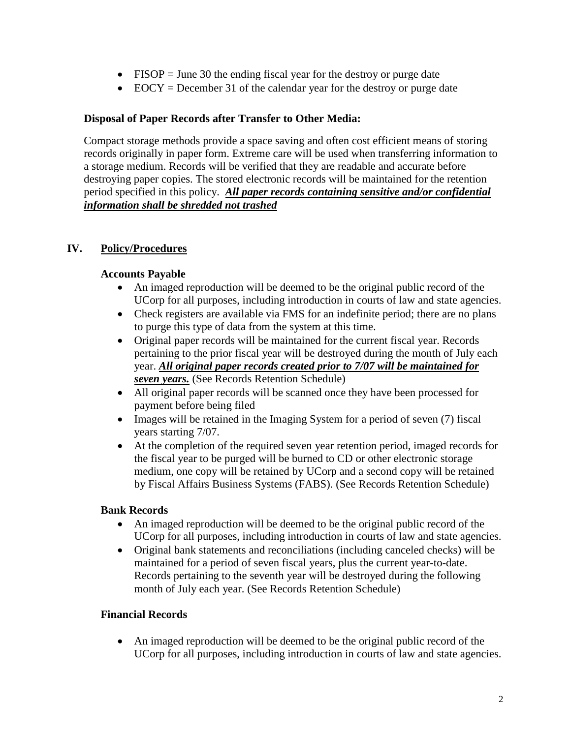- FISOP = June 30 the ending fiscal year for the destroy or purge date
- EOCY = December 31 of the calendar year for the destroy or purge date

#### **Disposal of Paper Records after Transfer to Other Media:**

Compact storage methods provide a space saving and often cost efficient means of storing records originally in paper form. Extreme care will be used when transferring information to a storage medium. Records will be verified that they are readable and accurate before destroying paper copies. The stored electronic records will be maintained for the retention period specified in this policy. *All paper records containing sensitive and/or confidential information shall be shredded not trashed*

# **IV. Policy/Procedures**

#### **Accounts Payable**

- An imaged reproduction will be deemed to be the original public record of the UCorp for all purposes, including introduction in courts of law and state agencies.
- Check registers are available via FMS for an indefinite period; there are no plans to purge this type of data from the system at this time.
- Original paper records will be maintained for the current fiscal year. Records pertaining to the prior fiscal year will be destroyed during the month of July each year. *All original paper records created prior to 7/07 will be maintained for seven years.* (See Records Retention Schedule)
- All original paper records will be scanned once they have been processed for payment before being filed
- Images will be retained in the Imaging System for a period of seven (7) fiscal years starting 7/07.
- At the completion of the required seven year retention period, imaged records for the fiscal year to be purged will be burned to CD or other electronic storage medium, one copy will be retained by UCorp and a second copy will be retained by Fiscal Affairs Business Systems (FABS). (See Records Retention Schedule)

#### **Bank Records**

- An imaged reproduction will be deemed to be the original public record of the UCorp for all purposes, including introduction in courts of law and state agencies.
- Original bank statements and reconciliations (including canceled checks) will be maintained for a period of seven fiscal years, plus the current year-to-date. Records pertaining to the seventh year will be destroyed during the following month of July each year. (See Records Retention Schedule)

#### **Financial Records**

• An imaged reproduction will be deemed to be the original public record of the UCorp for all purposes, including introduction in courts of law and state agencies.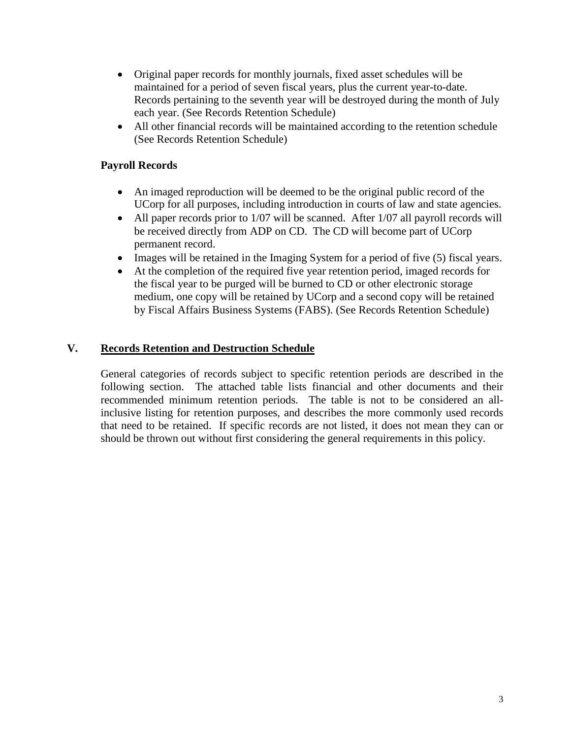- Original paper records for monthly journals, fixed asset schedules will be maintained for a period of seven fiscal years, plus the current year-to-date. Records pertaining to the seventh year will be destroyed during the month of July each year. (See Records Retention Schedule)
- All other financial records will be maintained according to the retention schedule (See Records Retention Schedule)

## **Payroll Records**

- An imaged reproduction will be deemed to be the original public record of the UCorp for all purposes, including introduction in courts of law and state agencies.
- All paper records prior to 1/07 will be scanned. After 1/07 all payroll records will be received directly from ADP on CD. The CD will become part of UCorp permanent record.
- Images will be retained in the Imaging System for a period of five (5) fiscal years.
- At the completion of the required five year retention period, imaged records for the fiscal year to be purged will be burned to CD or other electronic storage medium, one copy will be retained by UCorp and a second copy will be retained by Fiscal Affairs Business Systems (FABS). (See Records Retention Schedule)

# **V. Records Retention and Destruction Schedule**

General categories of records subject to specific retention periods are described in the following section. The attached table lists financial and other documents and their recommended minimum retention periods. The table is not to be considered an allinclusive listing for retention purposes, and describes the more commonly used records that need to be retained. If specific records are not listed, it does not mean they can or should be thrown out without first considering the general requirements in this policy.